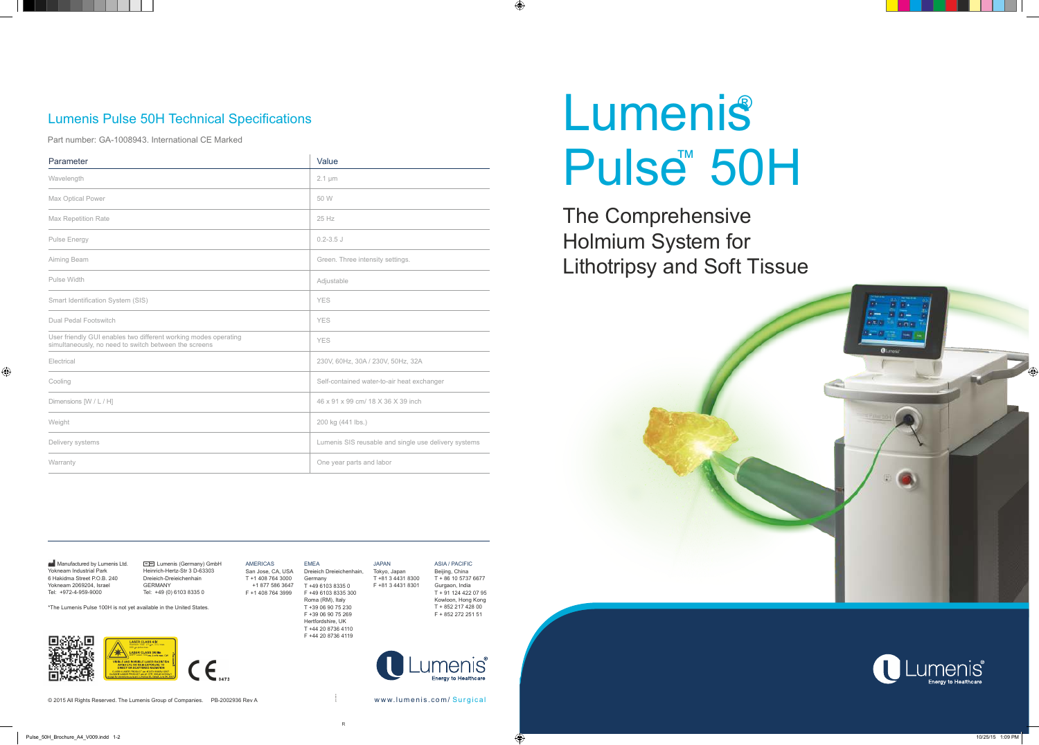AMERICAS San Jose, CA, USA T +1 408 764 3000 +1 877 586 3647 F +1 408 764 3999 Germany

EMEA Dreieich Dreieichenhain, T +49 6103 8335 0 F +49 6103 8335 300 Roma (RM), Italy T +39 06 90 75 230 F +39 06 90 75 269 Hertfordshire, UK T +44 20 8736 4110 JAPAN Tokyo, Japan T +81 3 4431 8300 F +81 3 4431 8301

F +44 20 8736 4119

ASIA / PACIFIC Beijing, China T + 86 10 5737 6677 Gurgaon, India T + 91 124 422 07 95 Kowloon, Hong Kong T + 852 217 428 00 F + 852 272 251 51

 $\bigcirc$ 



The Comprehensive Holmium System for Lithotripsy and Soft Tissue



**Manufactured by Lumenis Ltd.** Yokneam Industrial Park 6 Hakidma Street P.O.B. 240 Yokneam 2069204, Israel Tel: +972-4-959-9000

 $\bigoplus$ 

E **REP** Lumenis (Germany) GmbH Heinrich-Hertz-Str 3 D-63303 Dreieich-Dreieichenhain GERMANY Tel: +49 (0) 6103 8335 0

| Parameter                                                                                                                | Value                                                |
|--------------------------------------------------------------------------------------------------------------------------|------------------------------------------------------|
| Wavelength                                                                                                               | $2.1 \mu m$                                          |
| Max Optical Power                                                                                                        | 50 W                                                 |
| <b>Max Repetition Rate</b>                                                                                               | 25 Hz                                                |
| Pulse Energy                                                                                                             | $0.2 - 3.5$ J                                        |
| Aiming Beam                                                                                                              | Green. Three intensity settings.                     |
| Pulse Width                                                                                                              | Adjustable                                           |
| Smart Identification System (SIS)                                                                                        | <b>YES</b>                                           |
| <b>Dual Pedal Footswitch</b>                                                                                             | <b>YES</b>                                           |
| User friendly GUI enables two different working modes operating<br>simultaneously, no need to switch between the screens | <b>YES</b>                                           |
| Electrical                                                                                                               | 230V, 60Hz, 30A / 230V, 50Hz, 32A                    |
| Cooling                                                                                                                  | Self-contained water-to-air heat exchanger           |
| Dimensions [W / L / H]                                                                                                   | 46 x 91 x 99 cm/ 18 X 36 X 39 inch                   |
| Weight                                                                                                                   | 200 kg (441 lbs.)                                    |
| Delivery systems                                                                                                         | Lumenis SIS reusable and single use delivery systems |
| Warranty                                                                                                                 | One year parts and labor                             |

# **Lumenis** Pulse<sup>™</sup> 50H

#### Lumenis Pulse 50H Technical Specifications

Part number: GA-1008943. International CE Marked

. . . .

R

LB-1090961



© 2015 All Rights Reserved. The Lumenis Group of Companies. PB-2002936 Rev A w w w w w w w w w w w lumenis . c o m / Surgical

\*The Lumenis Pulse 100H is not yet available in the United States.